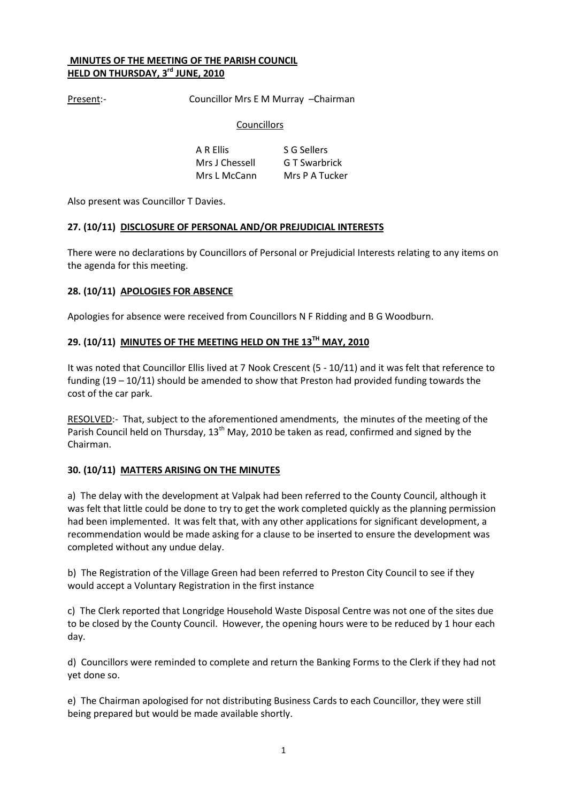## MINUTES OF THE MEETING OF THE PARISH COUNCIL HELD ON THURSDAY, 3rd JUNE, 2010

Present:- Councillor Mrs E M Murray -Chairman

# **Councillors**

A R Ellis S G Sellers Mrs J Chessell G T Swarbrick Mrs L McCann Mrs P A Tucker

Also present was Councillor T Davies.

## 27. (10/11) DISCLOSURE OF PERSONAL AND/OR PREJUDICIAL INTERESTS

There were no declarations by Councillors of Personal or Prejudicial Interests relating to any items on the agenda for this meeting.

# 28. (10/11) APOLOGIES FOR ABSENCE

Apologies for absence were received from Councillors N F Ridding and B G Woodburn.

## 29. (10/11) MINUTES OF THE MEETING HELD ON THE 13TH MAY, 2010

It was noted that Councillor Ellis lived at 7 Nook Crescent (5 - 10/11) and it was felt that reference to funding (19 – 10/11) should be amended to show that Preston had provided funding towards the cost of the car park.

RESOLVED:- That, subject to the aforementioned amendments, the minutes of the meeting of the Parish Council held on Thursday,  $13<sup>th</sup>$  May, 2010 be taken as read, confirmed and signed by the Chairman.

## 30. (10/11) MATTERS ARISING ON THE MINUTES

a) The delay with the development at Valpak had been referred to the County Council, although it was felt that little could be done to try to get the work completed quickly as the planning permission had been implemented. It was felt that, with any other applications for significant development, a recommendation would be made asking for a clause to be inserted to ensure the development was completed without any undue delay.

b) The Registration of the Village Green had been referred to Preston City Council to see if they would accept a Voluntary Registration in the first instance

c) The Clerk reported that Longridge Household Waste Disposal Centre was not one of the sites due to be closed by the County Council. However, the opening hours were to be reduced by 1 hour each day.

d) Councillors were reminded to complete and return the Banking Forms to the Clerk if they had not yet done so.

e) The Chairman apologised for not distributing Business Cards to each Councillor, they were still being prepared but would be made available shortly.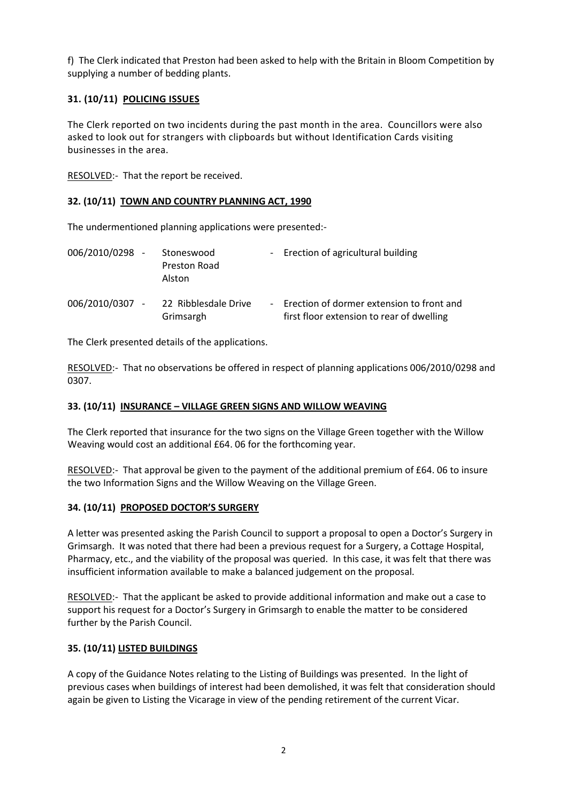f) The Clerk indicated that Preston had been asked to help with the Britain in Bloom Competition by supplying a number of bedding plants.

# 31. (10/11) POLICING ISSUES

The Clerk reported on two incidents during the past month in the area. Councillors were also asked to look out for strangers with clipboards but without Identification Cards visiting businesses in the area.

RESOLVED:- That the report be received.

# 32. (10/11) TOWN AND COUNTRY PLANNING ACT, 1990

The undermentioned planning applications were presented:-

| 006/2010/0298 - | Stoneswood<br>Preston Road<br>Alston | - Erection of agricultural building                                                      |
|-----------------|--------------------------------------|------------------------------------------------------------------------------------------|
| 006/2010/0307 - | 22 Ribblesdale Drive<br>Grimsargh    | - Erection of dormer extension to front and<br>first floor extension to rear of dwelling |

The Clerk presented details of the applications.

RESOLVED:- That no observations be offered in respect of planning applications 006/2010/0298 and 0307.

# 33. (10/11) INSURANCE – VILLAGE GREEN SIGNS AND WILLOW WEAVING

The Clerk reported that insurance for the two signs on the Village Green together with the Willow Weaving would cost an additional £64. 06 for the forthcoming year.

RESOLVED:- That approval be given to the payment of the additional premium of £64. 06 to insure the two Information Signs and the Willow Weaving on the Village Green.

## 34. (10/11) PROPOSED DOCTOR'S SURGERY

A letter was presented asking the Parish Council to support a proposal to open a Doctor's Surgery in Grimsargh. It was noted that there had been a previous request for a Surgery, a Cottage Hospital, Pharmacy, etc., and the viability of the proposal was queried. In this case, it was felt that there was insufficient information available to make a balanced judgement on the proposal.

RESOLVED:- That the applicant be asked to provide additional information and make out a case to support his request for a Doctor's Surgery in Grimsargh to enable the matter to be considered further by the Parish Council.

# 35. (10/11) LISTED BUILDINGS

A copy of the Guidance Notes relating to the Listing of Buildings was presented. In the light of previous cases when buildings of interest had been demolished, it was felt that consideration should again be given to Listing the Vicarage in view of the pending retirement of the current Vicar.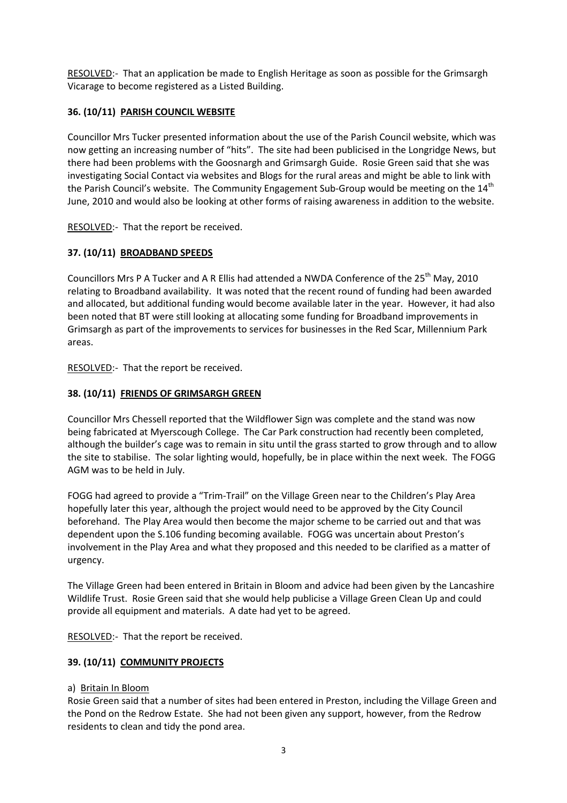RESOLVED:- That an application be made to English Heritage as soon as possible for the Grimsargh Vicarage to become registered as a Listed Building.

# 36. (10/11) PARISH COUNCIL WEBSITE

Councillor Mrs Tucker presented information about the use of the Parish Council website, which was now getting an increasing number of "hits". The site had been publicised in the Longridge News, but there had been problems with the Goosnargh and Grimsargh Guide. Rosie Green said that she was investigating Social Contact via websites and Blogs for the rural areas and might be able to link with the Parish Council's website. The Community Engagement Sub-Group would be meeting on the 14<sup>th</sup> June, 2010 and would also be looking at other forms of raising awareness in addition to the website.

RESOLVED:- That the report be received.

# 37. (10/11) BROADBAND SPEEDS

Councillors Mrs P A Tucker and A R Ellis had attended a NWDA Conference of the 25<sup>th</sup> May, 2010 relating to Broadband availability. It was noted that the recent round of funding had been awarded and allocated, but additional funding would become available later in the year. However, it had also been noted that BT were still looking at allocating some funding for Broadband improvements in Grimsargh as part of the improvements to services for businesses in the Red Scar, Millennium Park areas.

RESOLVED:- That the report be received.

# 38. (10/11) FRIENDS OF GRIMSARGH GREEN

Councillor Mrs Chessell reported that the Wildflower Sign was complete and the stand was now being fabricated at Myerscough College. The Car Park construction had recently been completed, although the builder's cage was to remain in situ until the grass started to grow through and to allow the site to stabilise. The solar lighting would, hopefully, be in place within the next week. The FOGG AGM was to be held in July.

FOGG had agreed to provide a "Trim-Trail" on the Village Green near to the Children's Play Area hopefully later this year, although the project would need to be approved by the City Council beforehand. The Play Area would then become the major scheme to be carried out and that was dependent upon the S.106 funding becoming available. FOGG was uncertain about Preston's involvement in the Play Area and what they proposed and this needed to be clarified as a matter of urgency.

The Village Green had been entered in Britain in Bloom and advice had been given by the Lancashire Wildlife Trust. Rosie Green said that she would help publicise a Village Green Clean Up and could provide all equipment and materials. A date had yet to be agreed.

RESOLVED:- That the report be received.

# 39. (10/11) COMMUNITY PROJECTS

## a) Britain In Bloom

Rosie Green said that a number of sites had been entered in Preston, including the Village Green and the Pond on the Redrow Estate. She had not been given any support, however, from the Redrow residents to clean and tidy the pond area.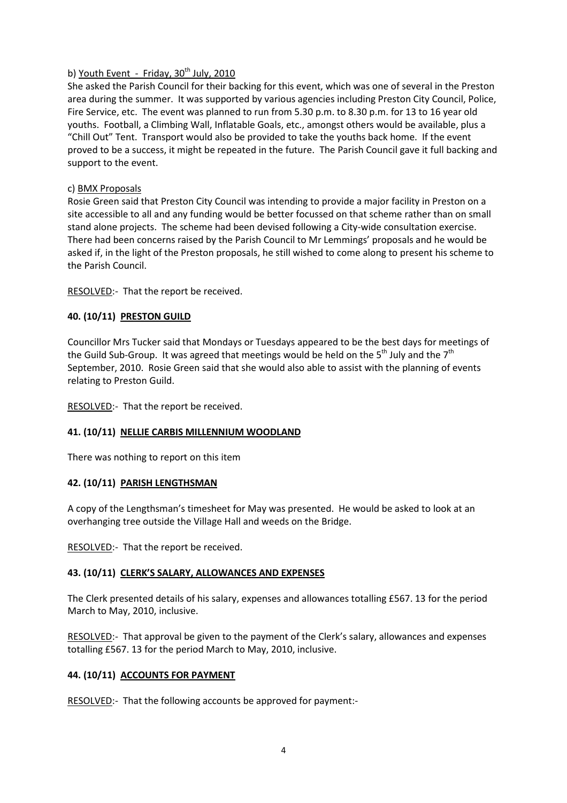## b) Youth Event - Friday,  $30<sup>th</sup>$  July, 2010

She asked the Parish Council for their backing for this event, which was one of several in the Preston area during the summer. It was supported by various agencies including Preston City Council, Police, Fire Service, etc. The event was planned to run from 5.30 p.m. to 8.30 p.m. for 13 to 16 year old youths. Football, a Climbing Wall, Inflatable Goals, etc., amongst others would be available, plus a "Chill Out" Tent. Transport would also be provided to take the youths back home. If the event proved to be a success, it might be repeated in the future. The Parish Council gave it full backing and support to the event.

## c) BMX Proposals

Rosie Green said that Preston City Council was intending to provide a major facility in Preston on a site accessible to all and any funding would be better focussed on that scheme rather than on small stand alone projects. The scheme had been devised following a City-wide consultation exercise. There had been concerns raised by the Parish Council to Mr Lemmings' proposals and he would be asked if, in the light of the Preston proposals, he still wished to come along to present his scheme to the Parish Council.

RESOLVED:- That the report be received.

# 40. (10/11) PRESTON GUILD

Councillor Mrs Tucker said that Mondays or Tuesdays appeared to be the best days for meetings of the Guild Sub-Group. It was agreed that meetings would be held on the 5<sup>th</sup> July and the 7<sup>th</sup> September, 2010. Rosie Green said that she would also able to assist with the planning of events relating to Preston Guild.

RESOLVED:- That the report be received.

# 41. (10/11) NELLIE CARBIS MILLENNIUM WOODLAND

There was nothing to report on this item

# 42. (10/11) PARISH LENGTHSMAN

A copy of the Lengthsman's timesheet for May was presented. He would be asked to look at an overhanging tree outside the Village Hall and weeds on the Bridge.

RESOLVED:- That the report be received.

# 43. (10/11) CLERK'S SALARY, ALLOWANCES AND EXPENSES

The Clerk presented details of his salary, expenses and allowances totalling £567. 13 for the period March to May, 2010, inclusive.

RESOLVED:- That approval be given to the payment of the Clerk's salary, allowances and expenses totalling £567. 13 for the period March to May, 2010, inclusive.

# 44. (10/11) ACCOUNTS FOR PAYMENT

RESOLVED:- That the following accounts be approved for payment:-